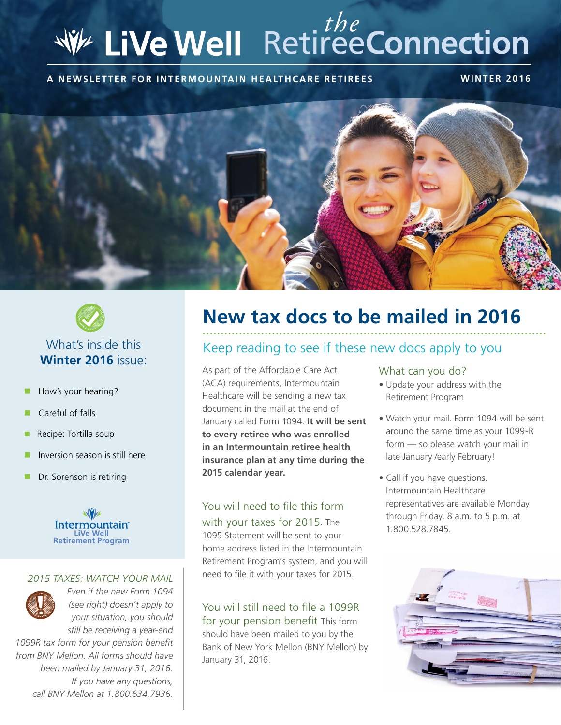# Retiree**Connection** *the*

**A NEWSLETTER FOR INTERMOUNTAIN HEALTHCARE RETIREES WINTER 2016**





- How's your hearing?
- $\Box$  Careful of falls
- $\blacksquare$  Recipe: Tortilla soup
- n Inversion season is still here
- **n** Dr. Sorenson is retiring



#### *2015 TAXES: WATCH YOUR MAIL*



*Even if the new Form 1094 (see right) doesn't apply to your situation, you should still be receiving a year-end* 

*1099R tax form for your pension benefit from BNY Mellon. All forms should have been mailed by January 31, 2016. If you have any questions, call BNY Mellon at 1.800.634.7936.*

## **New tax docs to be mailed in 2016**

#### Keep reading to see if these new docs apply to you

As part of the Affordable Care Act (ACA) requirements, Intermountain Healthcare will be sending a new tax document in the mail at the end of January called Form 1094. **It will be sent to every retiree who was enrolled in an Intermountain retiree health insurance plan at any time during the 2015 calendar year.**

#### You will need to file this form with your taxes for 2015. The

1095 Statement will be sent to your home address listed in the Intermountain Retirement Program's system, and you will need to file it with your taxes for 2015.

You will still need to file a 1099R for your pension benefit This form should have been mailed to you by the Bank of New York Mellon (BNY Mellon) by January 31, 2016.

#### What can you do?

- Update your address with the Retirement Program
- Watch your mail. Form 1094 will be sent around the same time as your 1099-R form — so please watch your mail in late January /early February!
- Call if you have questions. Intermountain Healthcare representatives are available Monday through Friday, 8 a.m. to 5 p.m. at 1.800.528.7845.

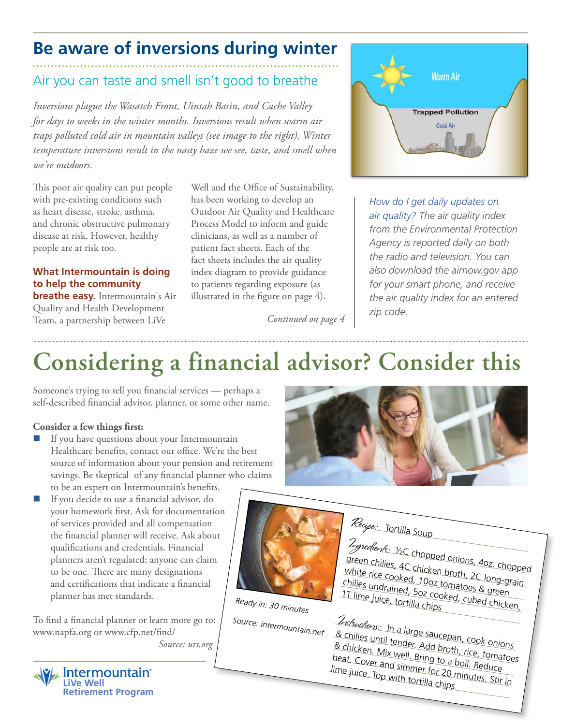## **Be aware of inversions during winter**

## Air you can taste and smell isn't good to breathe

*Inversions plague the Wasatch Front, Uintah Basin, and Cache Valley for days to weeks in the winter months. Inversions result when warm air traps polluted cold air in mountain valleys (see image to the right). Winter temperature inversions result in the nasty haze we see, taste, and smell when we're outdoors.*

This poor air quality can put people with pre-existing conditions such as heart disease, stroke, asthma, and chronic obstructive pulmonary disease at risk. However, healthy people are at risk too.

#### **What Intermountain is doing to help the community**

**breathe easy.** Intermountain's Air Quality and Health Development Team, a partnership between LiVe

Well and the Office of Sustainability, has been working to develop an Outdoor Air Quality and Healthcare Process Model to inform and guide clinicians, as well as a number of patient fact sheets. Each of the fact sheets includes the air quality index diagram to provide guidance to patients regarding exposure (as illustrated in the figure on page 4).

*Continued on page 4*



*How do I get daily updates on air quality? The air quality index from the Environmental Protection Agency is reported daily on both the radio and television. You can also download the airnow.gov app for your smart phone, and receive the air quality index for an entered zip code.*

## **Considering a financial advisor? Consider this**

Someone's trying to sell you financial services — perhaps a self-described financial advisor, planner, or some other name.

#### **Consider a few things first:**

- $\blacksquare$  If you have questions about your Intermountain Healthcare benefits, contact our office. We're the best source of information about your pension and retirement savings. Be skeptical of any financial planner who claims to be an expert on Intermountain's benefits.
- $\blacksquare$  If you decide to use a financial advisor, do your homework first. Ask for documentation of services provided and all compensation the financial planner will receive. Ask about qualifications and credentials. Financial planners aren't regulated; anyone can claim to be one. There are many designations and certifications that indicate a financial planner has met standards.

To find a financial planner or learn more go to: www.napfa.org or www.cfp.net/find/ *Source: urs.org*







*Ready in: 30 minutes*

*Source: intermountain.net*

Recipe: Tortilla Soup

Ingredients: ½C chopped onions, 4oz. chopped green chilies, 4C chicken broth, 2C long-grain white rice cooked, 10oz tomatoes & green chilies undrained, 10oz tomatoes & green<br>1T lime juice, tortilla chips<br>1T lime juice, tortilla chips

Instructions: In a large saucepan, cook onions & chilies until tender. Add broth, rice, tomatoes & chicken. Mix well. Bring to a boil. Reduce heat. Cover and simmer for 20 minutes. Stir in lime juice. Top with tortilla chips.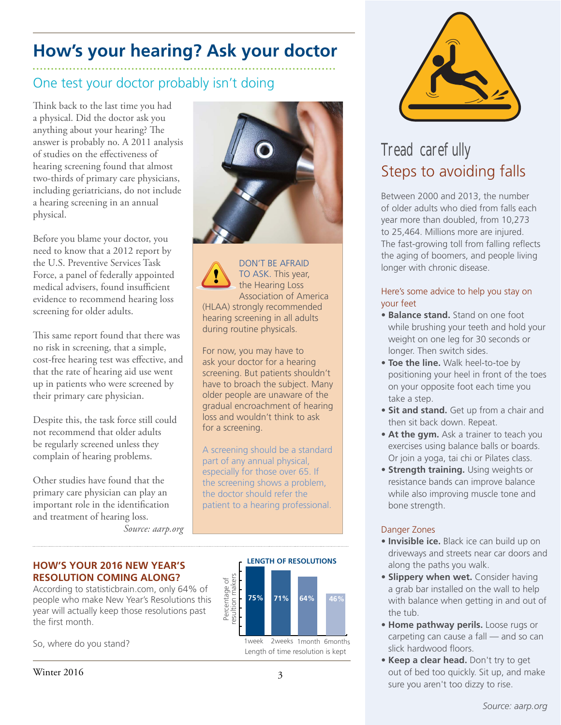## **How's your hearing? Ask your doctor**

### One test your doctor probably isn't doing

Think back to the last time you had a physical. Did the doctor ask you anything about your hearing? The answer is probably no. A 2011 analysis of studies on the effectiveness of hearing screening found that almost two-thirds of primary care physicians, including geriatricians, do not include a hearing screening in an annual physical.

Before you blame your doctor, you need to know that a 2012 report by the U.S. Preventive Services Task Force, a panel of federally appointed medical advisers, found insufficient evidence to recommend hearing loss screening for older adults.

This same report found that there was no risk in screening, that a simple, cost-free hearing test was effective, and that the rate of hearing aid use went up in patients who were screened by their primary care physician.

Despite this, the task force still could not recommend that older adults be regularly screened unless they complain of hearing problems.

Other studies have found that the primary care physician can play an important role in the identification and treatment of hearing loss.

*Source: aarp.org*



DON'T BE AFRAID TO ASK. This year, the Hearing Loss Association of America (HLAA) strongly recommended hearing screening in all adults during routine physicals.

For now, you may have to ask your doctor for a hearing screening. But patients shouldn't have to broach the subject. Many older people are unaware of the gradual encroachment of hearing loss and wouldn't think to ask for a screening.

A screening should be a standard part of any annual physical, especially for those over 65. If the screening shows a problem, the doctor should refer the patient to a hearing professional.



So, where do you stand?<br>
Length of time resolution is kept



## Tread carefully Steps to avoiding falls

Between 2000 and 2013, the number of older adults who died from falls each year more than doubled, from 10,273 to 25,464. Millions more are injured. The fast-growing toll from falling reflects the aging of boomers, and people living longer with chronic disease.

#### Here's some advice to help you stay on your feet

- **Balance stand.** Stand on one foot while brushing your teeth and hold your weight on one leg for 30 seconds or longer. Then switch sides.
- **Toe the line.** Walk heel-to-toe by positioning your heel in front of the toes on your opposite foot each time you take a step.
- **Sit and stand.** Get up from a chair and then sit back down. Repeat.
- **At the gym.** Ask a trainer to teach you exercises using balance balls or boards. Or join a yoga, tai chi or Pilates class.
- **Strength training.** Using weights or resistance bands can improve balance while also improving muscle tone and bone strength.

#### Danger Zones

- **Invisible ice.** Black ice can build up on driveways and streets near car doors and along the paths you walk.
- **Slippery when wet.** Consider having a grab bar installed on the wall to help with balance when getting in and out of the tub.
- **Home pathway perils.** Loose rugs or carpeting can cause a fall — and so can slick hardwood floors.
- **Keep a clear head.** Don't try to get out of bed too quickly. Sit up, and make sure you aren't too dizzy to rise.

#### **HOW'S YOUR 2016 NEW YEAR'S RESOLUTION COMING ALONG?**

According to statisticbrain.com, only 64% of people who make New Year's Resolutions this year will actually keep those resolutions past the first month.